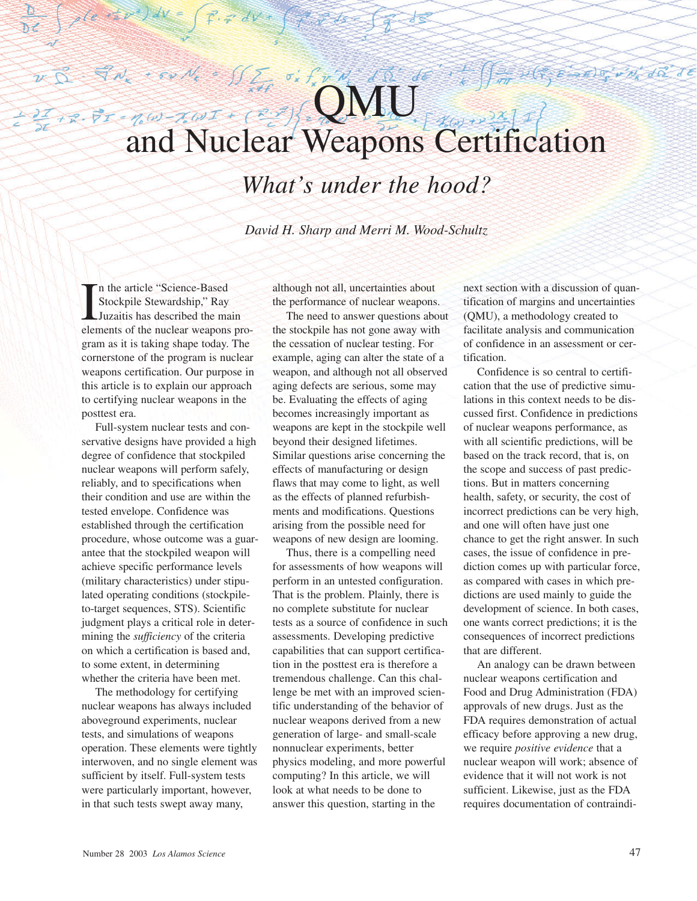# $v\overrightarrow{D}$  . The context of  $\sum_{i}$  $\sigma'_k$   $f'_k$   $\sigma'_k$   $\sigma'_k$   $\sigma'_k$   $\sigma'_k$ 201 + 2. PT = nW-NWI + (2) and Nuclear Weapons Certification

*What's under the hood?*

*David H. Sharp and Merri M. Wood-Schultz* 

In the article "Science-Based<br>Stockpile Stewardship," Ray<br>Juzaitis has described the main<br>elements of the nuclear weapons pron the article "Science-Based Stockpile Stewardship," Ray Juzaitis has described the main gram as it is taking shape today. The cornerstone of the program is nuclear weapons certification. Our purpose in this article is to explain our approach to certifying nuclear weapons in the posttest era.

Full-system nuclear tests and conservative designs have provided a high degree of confidence that stockpiled nuclear weapons will perform safely, reliably, and to specifications when their condition and use are within the tested envelope. Confidence was established through the certification procedure, whose outcome was a guarantee that the stockpiled weapon will achieve specific performance levels (military characteristics) under stipulated operating conditions (stockpileto-target sequences, STS). Scientific judgment plays a critical role in determining the *sufficiency* of the criteria on which a certification is based and, to some extent, in determining whether the criteria have been met.

The methodology for certifying nuclear weapons has always included aboveground experiments, nuclear tests, and simulations of weapons operation. These elements were tightly interwoven, and no single element was sufficient by itself. Full-system tests were particularly important, however, in that such tests swept away many,

although not all, uncertainties about the performance of nuclear weapons.

The need to answer questions about the stockpile has not gone away with the cessation of nuclear testing. For example, aging can alter the state of a weapon, and although not all observed aging defects are serious, some may be. Evaluating the effects of aging becomes increasingly important as weapons are kept in the stockpile well beyond their designed lifetimes. Similar questions arise concerning the effects of manufacturing or design flaws that may come to light, as well as the effects of planned refurbishments and modifications. Questions arising from the possible need for weapons of new design are looming.

Thus, there is a compelling need for assessments of how weapons will perform in an untested configuration. That is the problem. Plainly, there is no complete substitute for nuclear tests as a source of confidence in such assessments. Developing predictive capabilities that can support certification in the posttest era is therefore a tremendous challenge. Can this challenge be met with an improved scientific understanding of the behavior of nuclear weapons derived from a new generation of large- and small-scale nonnuclear experiments, better physics modeling, and more powerful computing? In this article, we will look at what needs to be done to answer this question, starting in the

next section with a discussion of quantification of margins and uncertainties (QMU), a methodology created to facilitate analysis and communication of confidence in an assessment or certification.

A WAS ENDOWN OR JE

Confidence is so central to certification that the use of predictive simulations in this context needs to be discussed first. Confidence in predictions of nuclear weapons performance, as with all scientific predictions, will be based on the track record, that is, on the scope and success of past predictions. But in matters concerning health, safety, or security, the cost of incorrect predictions can be very high, and one will often have just one chance to get the right answer. In such cases, the issue of confidence in prediction comes up with particular force, as compared with cases in which predictions are used mainly to guide the development of science. In both cases, one wants correct predictions; it is the consequences of incorrect predictions that are different.

An analogy can be drawn between nuclear weapons certification and Food and Drug Administration (FDA) approvals of new drugs. Just as the FDA requires demonstration of actual efficacy before approving a new drug, we require *positive evidence* that a nuclear weapon will work; absence of evidence that it will not work is not sufficient. Likewise, just as the FDA requires documentation of contraindi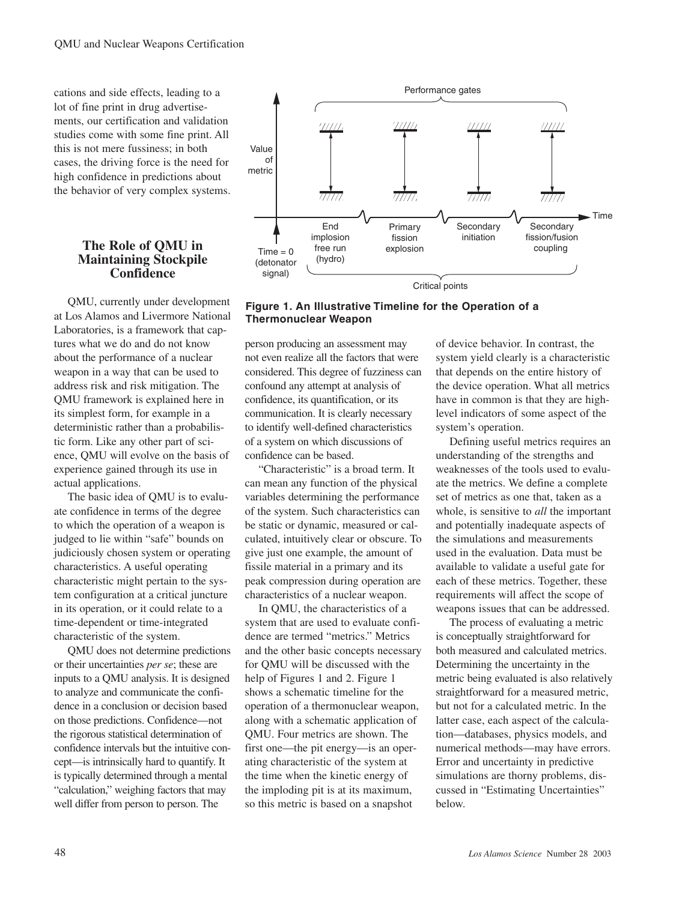<span id="page-1-0"></span>cations and side effects, leading to a lot of fine print in drug advertisements, our certification and validation studies come with some fine print. All this is not mere fussiness; in both cases, the driving force is the need for high confidence in predictions about the behavior of very complex systems.

## **The Role of QMU in Maintaining Stockpile Confidence**

QMU, currently under development at Los Alamos and Livermore National Laboratories, is a framework that captures what we do and do not know about the performance of a nuclear weapon in a way that can be used to address risk and risk mitigation. The QMU framework is explained here in its simplest form, for example in a deterministic rather than a probabilistic form. Like any other part of science, QMU will evolve on the basis of experience gained through its use in actual applications.

The basic idea of QMU is to evaluate confidence in terms of the degree to which the operation of a weapon is judged to lie within "safe" bounds on judiciously chosen system or operating characteristics. A useful operating characteristic might pertain to the system configuration at a critical juncture in its operation, or it could relate to a time-dependent or time-integrated characteristic of the system.

QMU does not determine predictions or their uncertainties *per se*; these are inputs to a QMU analysis. It is designed to analyze and communicate the confidence in a conclusion or decision based on those predictions. Confidence—not the rigorous statistical determination of confidence intervals but the intuitive concept—is intrinsically hard to quantify. It is typically determined through a mental "calculation," weighing factors that may well differ from person to person. The



**Figure 1. An Illustrative Timeline for the Operation of a Thermonuclear Weapon**

person producing an assessment may not even realize all the factors that were considered. This degree of fuzziness can confound any attempt at analysis of confidence, its quantification, or its communication. It is clearly necessary to identify well-defined characteristics of a system on which discussions of confidence can be based.

"Characteristic" is a broad term. It can mean any function of the physical variables determining the performance of the system. Such characteristics can be static or dynamic, measured or calculated, intuitively clear or obscure. To give just one example, the amount of fissile material in a primary and its peak compression during operation are characteristics of a nuclear weapon.

In QMU, the characteristics of a system that are used to evaluate confidence are termed "metrics." Metrics and the other basic concepts necessary for QMU will be discussed with the help of Figures 1 and [2.](#page-2-0) Figure 1 shows a schematic timeline for the operation of a thermonuclear weapon, along with a schematic application of QMU. Four metrics are shown. The first one—the pit energy—is an operating characteristic of the system at the time when the kinetic energy of the imploding pit is at its maximum, so this metric is based on a snapshot

of device behavior. In contrast, the system yield clearly is a characteristic that depends on the entire history of the device operation. What all metrics have in common is that they are highlevel indicators of some aspect of the system's operation.

Defining useful metrics requires an understanding of the strengths and weaknesses of the tools used to evaluate the metrics. We define a complete set of metrics as one that, taken as a whole, is sensitive to *all* the important and potentially inadequate aspects of the simulations and measurements used in the evaluation. Data must be available to validate a useful gate for each of these metrics. Together, these requirements will affect the scope of weapons issues that can be addressed.

The process of evaluating a metric is conceptually straightforward for both measured and calculated metrics. Determining the uncertainty in the metric being evaluated is also relatively straightforward for a measured metric, but not for a calculated metric. In the latter case, each aspect of the calculation—databases, physics models, and numerical methods—may have errors. Error and uncertainty in predictive simulations are thorny problems, discussed in "Estimating Uncertainties" below.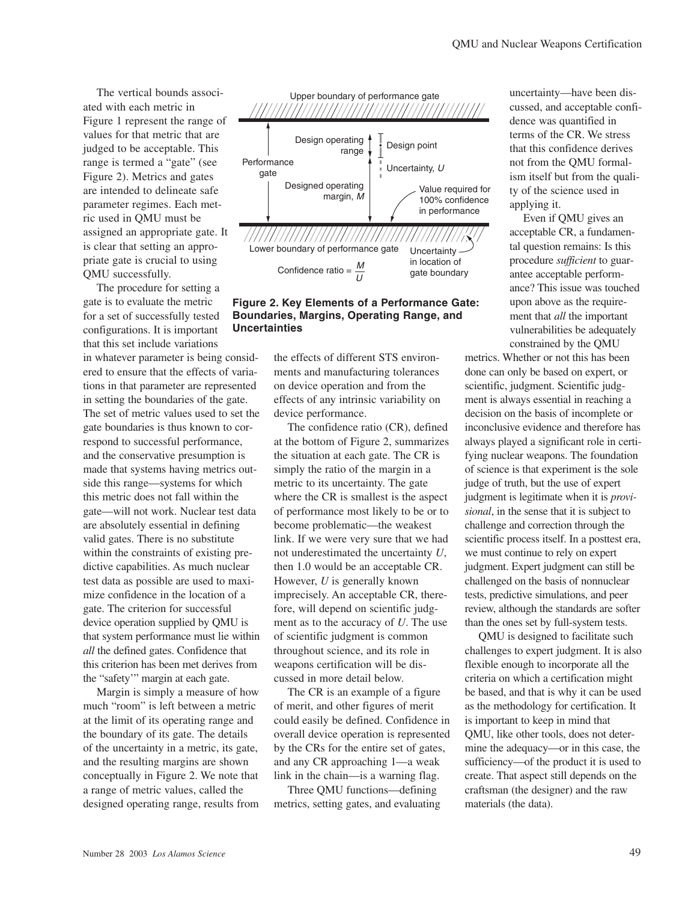<span id="page-2-0"></span>The vertical bounds associated with each metric in [Figure 1 r](#page-1-0)epresent the range of values for that metric that are judged to be acceptable. This range is termed a "gate" (see Figure 2). Metrics and gates are intended to delineate safe parameter regimes. Each metric used in QMU must be assigned an appropriate gate. It is clear that setting an appropriate gate is crucial to using QMU successfully.

The procedure for setting a gate is to evaluate the metric for a set of successfully tested configurations. It is important that this set include variations in whatever parameter is being considered to ensure that the effects of variations in that parameter are represented in setting the boundaries of the gate. The set of metric values used to set the gate boundaries is thus known to correspond to successful performance, and the conservative presumption is made that systems having metrics outside this range—systems for which this metric does not fall within the gate—will not work. Nuclear test data are absolutely essential in defining valid gates. There is no substitute within the constraints of existing predictive capabilities. As much nuclear test data as possible are used to maximize confidence in the location of a gate. The criterion for successful device operation supplied by QMU is that system performance must lie within *all* the defined gates. Confidence that this criterion has been met derives from the "safety'" margin at each gate.

Margin is simply a measure of how much "room" is left between a metric at the limit of its operating range and the boundary of its gate. The details of the uncertainty in a metric, its gate, and the resulting margins are shown conceptually in Figure 2. We note that a range of metric values, called the designed operating range, results from



### **Figure 2. Key Elements of a Performance Gate: Boundaries, Margins, Operating Range, and Uncertainties**

the effects of different STS environments and manufacturing tolerances on device operation and from the effects of any intrinsic variability on device performance.

The confidence ratio (CR), defined at the bottom of Figure 2, summarizes the situation at each gate. The CR is simply the ratio of the margin in a metric to its uncertainty. The gate where the CR is smallest is the aspect of performance most likely to be or to become problematic—the weakest link. If we were very sure that we had not underestimated the uncertainty *U*, then 1.0 would be an acceptable CR. However, *U* is generally known imprecisely. An acceptable CR, therefore, will depend on scientific judgment as to the accuracy of *U*. The use of scientific judgment is common throughout science, and its role in weapons certification will be discussed in more detail below.

The CR is an example of a figure of merit, and other figures of merit could easily be defined. Confidence in overall device operation is represented by the CRs for the entire set of gates, and any CR approaching 1—a weak link in the chain—is a warning flag.

Three QMU functions—defining metrics, setting gates, and evaluating uncertainty—have been discussed, and acceptable confidence was quantified in terms of the CR. We stress that this confidence derives not from the QMU formalism itself but from the quality of the science used in applying it.

Even if QMU gives an acceptable CR, a fundamental question remains: Is this procedure *sufficient* to guarantee acceptable performance? This issue was touched upon above as the requirement that *all* the important vulnerabilities be adequately constrained by the QMU

metrics. Whether or not this has been done can only be based on expert, or scientific, judgment. Scientific judgment is always essential in reaching a decision on the basis of incomplete or inconclusive evidence and therefore has always played a significant role in certifying nuclear weapons. The foundation of science is that experiment is the sole judge of truth, but the use of expert judgment is legitimate when it is *provisional*, in the sense that it is subject to challenge and correction through the scientific process itself. In a posttest era, we must continue to rely on expert judgment. Expert judgment can still be challenged on the basis of nonnuclear tests, predictive simulations, and peer review, although the standards are softer than the ones set by full-system tests.

QMU is designed to facilitate such challenges to expert judgment. It is also flexible enough to incorporate all the criteria on which a certification might be based, and that is why it can be used as the methodology for certification. It is important to keep in mind that QMU, like other tools, does not determine the adequacy—or in this case, the sufficiency—of the product it is used to create. That aspect still depends on the craftsman (the designer) and the raw materials (the data).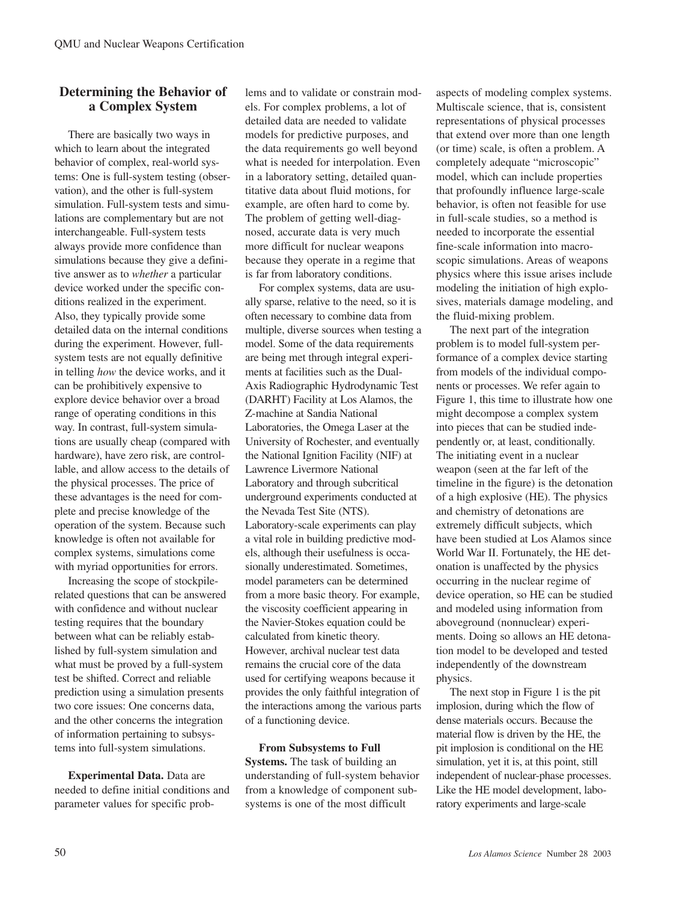## **Determining the Behavior of a Complex System**

There are basically two ways in which to learn about the integrated behavior of complex, real-world systems: One is full-system testing (observation), and the other is full-system simulation. Full-system tests and simulations are complementary but are not interchangeable. Full-system tests always provide more confidence than simulations because they give a definitive answer as to *whether* a particular device worked under the specific conditions realized in the experiment. Also, they typically provide some detailed data on the internal conditions during the experiment. However, fullsystem tests are not equally definitive in telling *how* the device works, and it can be prohibitively expensive to explore device behavior over a broad range of operating conditions in this way. In contrast, full-system simulations are usually cheap (compared with hardware), have zero risk, are controllable, and allow access to the details of the physical processes. The price of these advantages is the need for complete and precise knowledge of the operation of the system. Because such knowledge is often not available for complex systems, simulations come with myriad opportunities for errors.

Increasing the scope of stockpilerelated questions that can be answered with confidence and without nuclear testing requires that the boundary between what can be reliably established by full-system simulation and what must be proved by a full-system test be shifted. Correct and reliable prediction using a simulation presents two core issues: One concerns data, and the other concerns the integration of information pertaining to subsystems into full-system simulations.

**Experimental Data.** Data are needed to define initial conditions and parameter values for specific problems and to validate or constrain models. For complex problems, a lot of detailed data are needed to validate models for predictive purposes, and the data requirements go well beyond what is needed for interpolation. Even in a laboratory setting, detailed quantitative data about fluid motions, for example, are often hard to come by. The problem of getting well-diagnosed, accurate data is very much more difficult for nuclear weapons because they operate in a regime that is far from laboratory conditions.

For complex systems, data are usually sparse, relative to the need, so it is often necessary to combine data from multiple, diverse sources when testing a model. Some of the data requirements are being met through integral experiments at facilities such as the Dual-Axis Radiographic Hydrodynamic Test (DARHT) Facility at Los Alamos, the Z-machine at Sandia National Laboratories, the Omega Laser at the University of Rochester, and eventually the National Ignition Facility (NIF) at Lawrence Livermore National Laboratory and through subcritical underground experiments conducted at the Nevada Test Site (NTS). Laboratory-scale experiments can play a vital role in building predictive models, although their usefulness is occasionally underestimated. Sometimes, model parameters can be determined from a more basic theory. For example, the viscosity coefficient appearing in the Navier-Stokes equation could be calculated from kinetic theory. However, archival nuclear test data remains the crucial core of the data used for certifying weapons because it provides the only faithful integration of the interactions among the various parts of a functioning device.

# **From Subsystems to Full**

**Systems.** The task of building an understanding of full-system behavior from a knowledge of component subsystems is one of the most difficult

aspects of modeling complex systems. Multiscale science, that is, consistent representations of physical processes that extend over more than one length (or time) scale, is often a problem. A completely adequate "microscopic" model, which can include properties that profoundly influence large-scale behavior, is often not feasible for use in full-scale studies, so a method is needed to incorporate the essential fine-scale information into macroscopic simulations. Areas of weapons physics where this issue arises include modeling the initiation of high explosives, materials damage modeling, and the fluid-mixing problem.

The next part of the integration problem is to model full-system performance of a complex device starting from models of the individual components or processes. We refer again to [Figure 1, t](#page-1-0)his time to illustrate how one might decompose a complex system into pieces that can be studied independently or, at least, conditionally. The initiating event in a nuclear weapon (seen at the far left of the timeline in the figure) is the detonation of a high explosive (HE). The physics and chemistry of detonations are extremely difficult subjects, which have been studied at Los Alamos since World War II. Fortunately, the HE detonation is unaffected by the physics occurring in the nuclear regime of device operation, so HE can be studied and modeled using information from aboveground (nonnuclear) experiments. Doing so allows an HE detonation model to be developed and tested independently of the downstream physics.

The next stop in [Figure 1 i](#page-1-0)s the pit implosion, during which the flow of dense materials occurs. Because the material flow is driven by the HE, the pit implosion is conditional on the HE simulation, yet it is, at this point, still independent of nuclear-phase processes. Like the HE model development, laboratory experiments and large-scale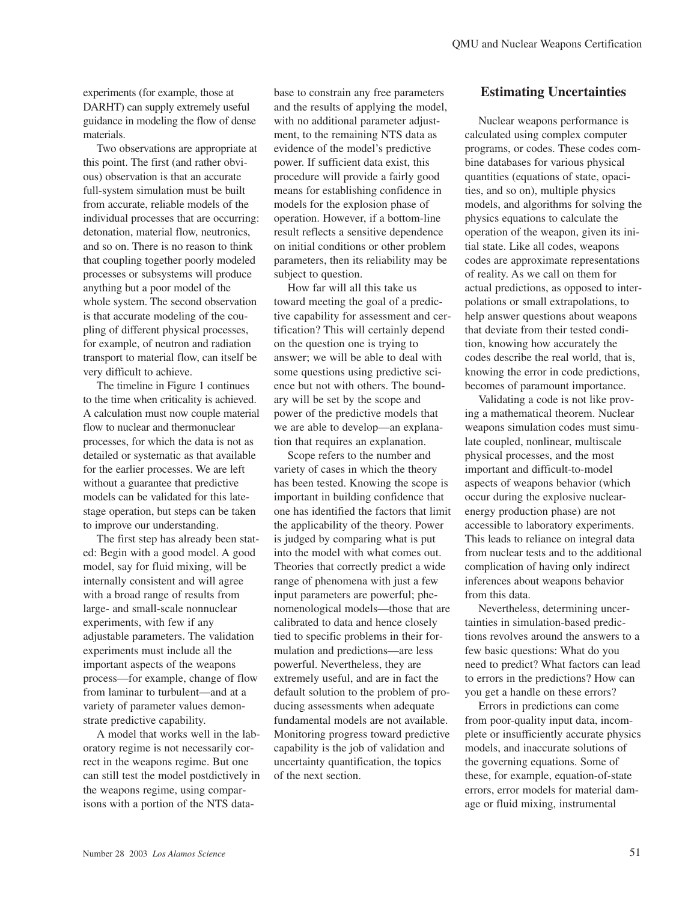experiments (for example, those at DARHT) can supply extremely useful guidance in modeling the flow of dense materials.

Two observations are appropriate at this point. The first (and rather obvious) observation is that an accurate full-system simulation must be built from accurate, reliable models of the individual processes that are occurring: detonation, material flow, neutronics, and so on. There is no reason to think that coupling together poorly modeled processes or subsystems will produce anything but a poor model of the whole system. The second observation is that accurate modeling of the coupling of different physical processes, for example, of neutron and radiation transport to material flow, can itself be very difficult to achieve.

The timeline in [Figure 1 c](#page-1-0)ontinues to the time when criticality is achieved. A calculation must now couple material flow to nuclear and thermonuclear processes, for which the data is not as detailed or systematic as that available for the earlier processes. We are left without a guarantee that predictive models can be validated for this latestage operation, but steps can be taken to improve our understanding.

The first step has already been stated: Begin with a good model. A good model, say for fluid mixing, will be internally consistent and will agree with a broad range of results from large- and small-scale nonnuclear experiments, with few if any adjustable parameters. The validation experiments must include all the important aspects of the weapons process—for example, change of flow from laminar to turbulent—and at a variety of parameter values demonstrate predictive capability.

A model that works well in the laboratory regime is not necessarily correct in the weapons regime. But one can still test the model postdictively in the weapons regime, using comparisons with a portion of the NTS database to constrain any free parameters and the results of applying the model, with no additional parameter adjustment, to the remaining NTS data as evidence of the model's predictive power. If sufficient data exist, this procedure will provide a fairly good means for establishing confidence in models for the explosion phase of operation. However, if a bottom-line result reflects a sensitive dependence on initial conditions or other problem parameters, then its reliability may be subject to question.

How far will all this take us toward meeting the goal of a predictive capability for assessment and certification? This will certainly depend on the question one is trying to answer; we will be able to deal with some questions using predictive science but not with others. The boundary will be set by the scope and power of the predictive models that we are able to develop—an explanation that requires an explanation.

Scope refers to the number and variety of cases in which the theory has been tested. Knowing the scope is important in building confidence that one has identified the factors that limit the applicability of the theory. Power is judged by comparing what is put into the model with what comes out. Theories that correctly predict a wide range of phenomena with just a few input parameters are powerful; phenomenological models—those that are calibrated to data and hence closely tied to specific problems in their formulation and predictions—are less powerful. Nevertheless, they are extremely useful, and are in fact the default solution to the problem of producing assessments when adequate fundamental models are not available. Monitoring progress toward predictive capability is the job of validation and uncertainty quantification, the topics of the next section.

## **Estimating Uncertainties**

Nuclear weapons performance is calculated using complex computer programs, or codes. These codes combine databases for various physical quantities (equations of state, opacities, and so on), multiple physics models, and algorithms for solving the physics equations to calculate the operation of the weapon, given its initial state. Like all codes, weapons codes are approximate representations of reality. As we call on them for actual predictions, as opposed to interpolations or small extrapolations, to help answer questions about weapons that deviate from their tested condition, knowing how accurately the codes describe the real world, that is, knowing the error in code predictions, becomes of paramount importance.

Validating a code is not like proving a mathematical theorem. Nuclear weapons simulation codes must simulate coupled, nonlinear, multiscale physical processes, and the most important and difficult-to-model aspects of weapons behavior (which occur during the explosive nuclearenergy production phase) are not accessible to laboratory experiments. This leads to reliance on integral data from nuclear tests and to the additional complication of having only indirect inferences about weapons behavior from this data.

Nevertheless, determining uncertainties in simulation-based predictions revolves around the answers to a few basic questions: What do you need to predict? What factors can lead to errors in the predictions? How can you get a handle on these errors?

Errors in predictions can come from poor-quality input data, incomplete or insufficiently accurate physics models, and inaccurate solutions of the governing equations. Some of these, for example, equation-of-state errors, error models for material damage or fluid mixing, instrumental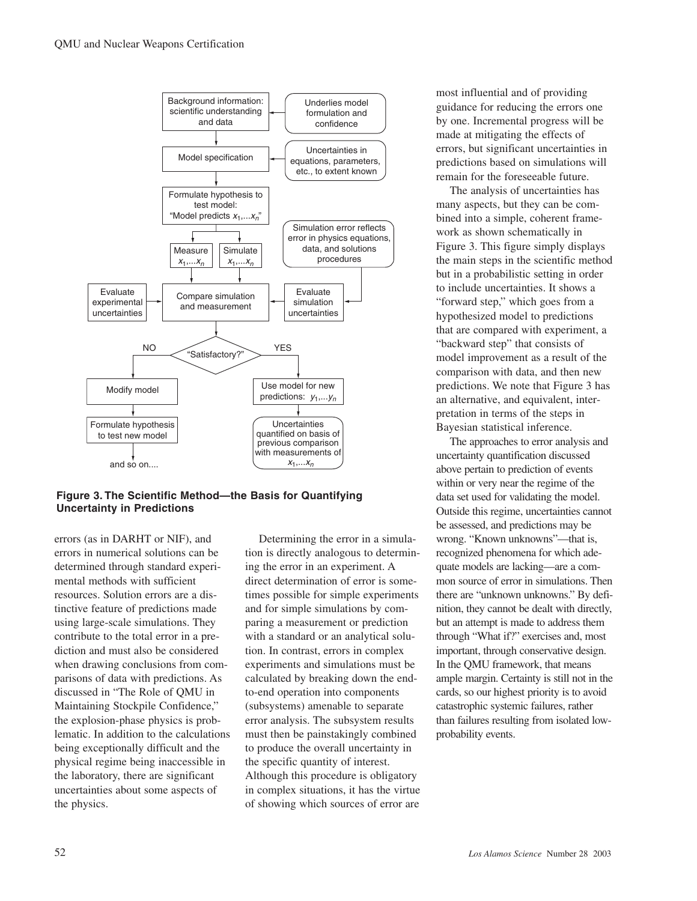

#### **Figure 3. The Scientific Method—the Basis for Quantifying Uncertainty in Predictions**

errors (as in DARHT or NIF), and errors in numerical solutions can be determined through standard experimental methods with sufficient resources. Solution errors are a distinctive feature of predictions made using large-scale simulations. They contribute to the total error in a prediction and must also be considered when drawing conclusions from comparisons of data with predictions. As discussed in "The Role of QMU in Maintaining Stockpile Confidence," the explosion-phase physics is problematic. In addition to the calculations being exceptionally difficult and the physical regime being inaccessible in the laboratory, there are significant uncertainties about some aspects of the physics.

Determining the error in a simulation is directly analogous to determining the error in an experiment. A direct determination of error is sometimes possible for simple experiments and for simple simulations by comparing a measurement or prediction with a standard or an analytical solution. In contrast, errors in complex experiments and simulations must be calculated by breaking down the endto-end operation into components (subsystems) amenable to separate error analysis. The subsystem results must then be painstakingly combined to produce the overall uncertainty in the specific quantity of interest. Although this procedure is obligatory in complex situations, it has the virtue of showing which sources of error are most influential and of providing guidance for reducing the errors one by one. Incremental progress will be made at mitigating the effects of errors, but significant uncertainties in predictions based on simulations will remain for the foreseeable future.

The analysis of uncertainties has many aspects, but they can be combined into a simple, coherent framework as shown schematically in Figure 3. This figure simply displays the main steps in the scientific method but in a probabilistic setting in order to include uncertainties. It shows a "forward step," which goes from a hypothesized model to predictions that are compared with experiment, a "backward step" that consists of model improvement as a result of the comparison with data, and then new predictions. We note that Figure 3 has an alternative, and equivalent, interpretation in terms of the steps in Bayesian statistical inference.

The approaches to error analysis and uncertainty quantification discussed above pertain to prediction of events within or very near the regime of the data set used for validating the model. Outside this regime, uncertainties cannot be assessed, and predictions may be wrong. "Known unknowns"—that is, recognized phenomena for which adequate models are lacking—are a common source of error in simulations. Then there are "unknown unknowns." By definition, they cannot be dealt with directly, but an attempt is made to address them through "What if?" exercises and, most important, through conservative design. In the QMU framework, that means ample margin. Certainty is still not in the cards, so our highest priority is to avoid catastrophic systemic failures, rather than failures resulting from isolated lowprobability events.